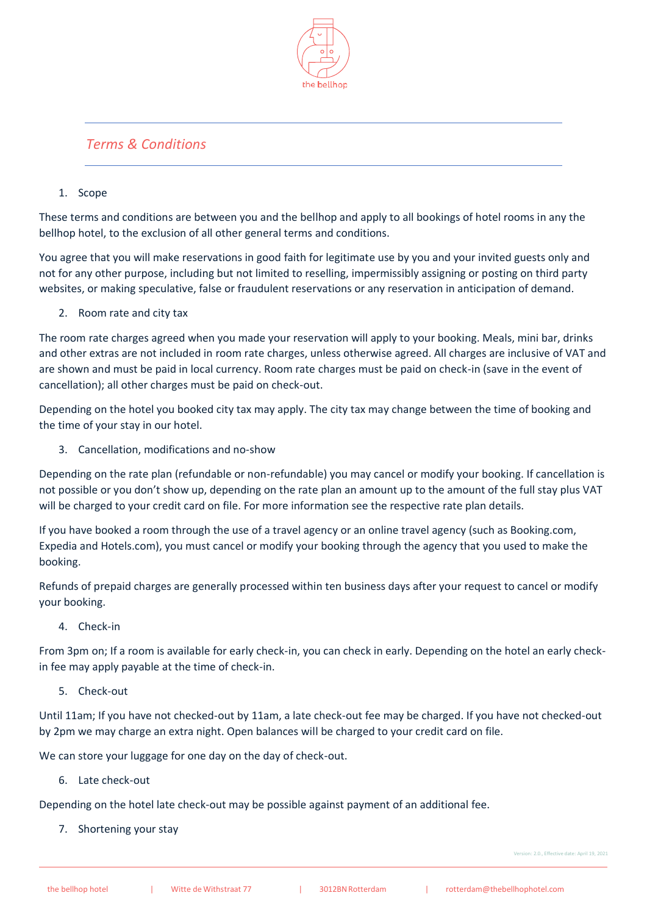

# *Terms & Conditions*

## 1. Scope

These terms and conditions are between you and the bellhop and apply to all bookings of hotel rooms in any the bellhop hotel, to the exclusion of all other general terms and conditions.

You agree that you will make reservations in good faith for legitimate use by you and your invited guests only and not for any other purpose, including but not limited to reselling, impermissibly assigning or posting on third party websites, or making speculative, false or fraudulent reservations or any reservation in anticipation of demand.

2. Room rate and city tax

The room rate charges agreed when you made your reservation will apply to your booking. Meals, mini bar, drinks and other extras are not included in room rate charges, unless otherwise agreed. All charges are inclusive of VAT and are shown and must be paid in local currency. Room rate charges must be paid on check-in (save in the event of cancellation); all other charges must be paid on check-out.

Depending on the hotel you booked city tax may apply. The city tax may change between the time of booking and the time of your stay in our hotel.

3. Cancellation, modifications and no-show

Depending on the rate plan (refundable or non-refundable) you may cancel or modify your booking. If cancellation is not possible or you don't show up, depending on the rate plan an amount up to the amount of the full stay plus VAT will be charged to your credit card on file. For more information see the respective rate plan details.

If you have booked a room through the use of a travel agency or an online travel agency (such as Booking.com, Expedia and Hotels.com), you must cancel or modify your booking through the agency that you used to make the booking.

Refunds of prepaid charges are generally processed within ten business days after your request to cancel or modify your booking.

4. Check-in

From 3pm on; If a room is available for early check-in, you can check in early. Depending on the hotel an early checkin fee may apply payable at the time of check-in.

5. Check-out

Until 11am; If you have not checked-out by 11am, a late check-out fee may be charged. If you have not checked-out by 2pm we may charge an extra night. Open balances will be charged to your credit card on file.

We can store your luggage for one day on the day of check-out.

6. Late check-out

Depending on the hotel late check-out may be possible against payment of an additional fee.

7. Shortening your stay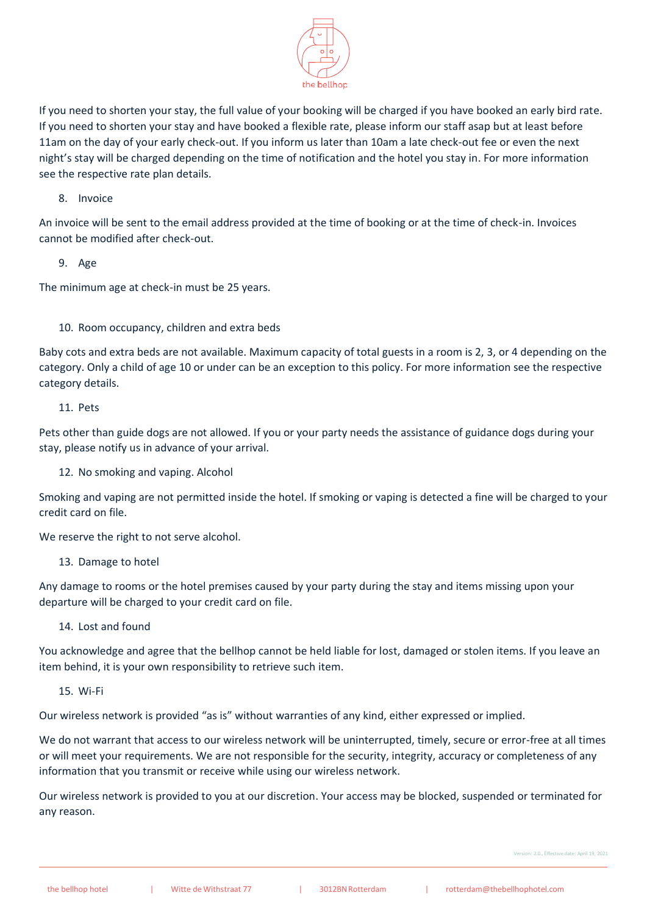

If you need to shorten your stay, the full value of your booking will be charged if you have booked an early bird rate. If you need to shorten your stay and have booked a flexible rate, please inform our staff asap but at least before 11am on the day of your early check-out. If you inform us later than 10am a late check-out fee or even the next night's stay will be charged depending on the time of notification and the hotel you stay in. For more information see the respective rate plan details.

8. Invoice

An invoice will be sent to the email address provided at the time of booking or at the time of check-in. Invoices cannot be modified after check-out.

9. Age

The minimum age at check-in must be 25 years.

## 10. Room occupancy, children and extra beds

Baby cots and extra beds are not available. Maximum capacity of total guests in a room is 2, 3, or 4 depending on the category. Only a child of age 10 or under can be an exception to this policy. For more information see the respective category details.

11. Pets

Pets other than guide dogs are not allowed. If you or your party needs the assistance of guidance dogs during your stay, please notify us in advance of your arrival.

12. No smoking and vaping. Alcohol

Smoking and vaping are not permitted inside the hotel. If smoking or vaping is detected a fine will be charged to your credit card on file.

We reserve the right to not serve alcohol.

13. Damage to hotel

Any damage to rooms or the hotel premises caused by your party during the stay and items missing upon your departure will be charged to your credit card on file.

14. Lost and found

You acknowledge and agree that the bellhop cannot be held liable for lost, damaged or stolen items. If you leave an item behind, it is your own responsibility to retrieve such item.

15. Wi-Fi

Our wireless network is provided "as is" without warranties of any kind, either expressed or implied.

We do not warrant that access to our wireless network will be uninterrupted, timely, secure or error-free at all times or will meet your requirements. We are not responsible for the security, integrity, accuracy or completeness of any information that you transmit or receive while using our wireless network.

Our wireless network is provided to you at our discretion. Your access may be blocked, suspended or terminated for any reason.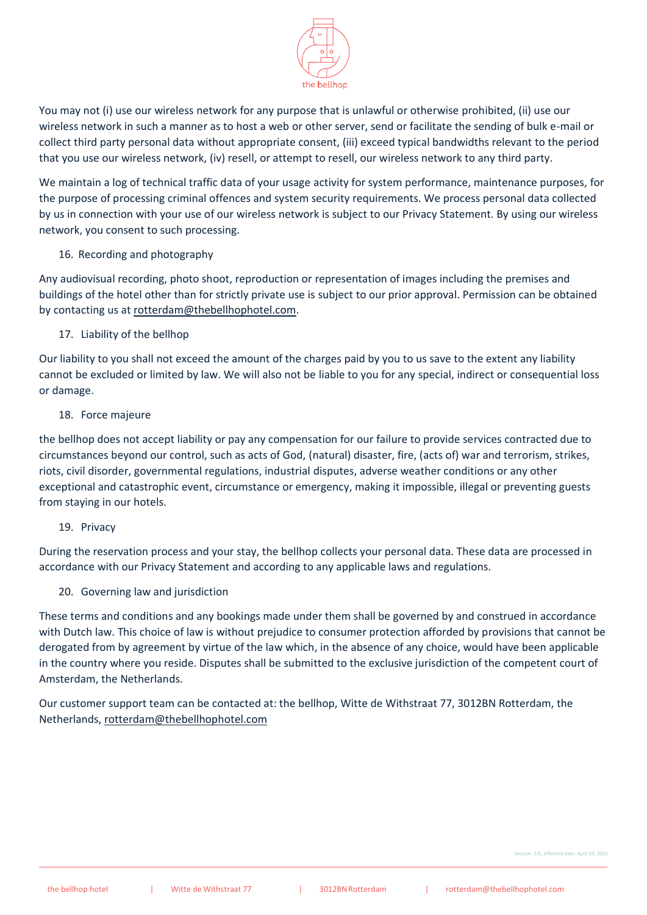

You may not (i) use our wireless network for any purpose that is unlawful or otherwise prohibited, (ii) use our wireless network in such a manner as to host a web or other server, send or facilitate the sending of bulk e-mail or collect third party personal data without appropriate consent, (iii) exceed typical bandwidths relevant to the period that you use our wireless network, (iv) resell, or attempt to resell, our wireless network to any third party.

We maintain a log of technical traffic data of your usage activity for system performance, maintenance purposes, for the purpose of processing criminal offences and system security requirements. We process personal data collected by us in connection with your use of our wireless network is subject to our Privacy Statement. By using our wireless network, you consent to such processing.

#### 16. Recording and photography

Any audiovisual recording, photo shoot, reproduction or representation of images including the premises and buildings of the hotel other than for strictly private use is subject to our prior approval. Permission can be obtained by contacting us a[t rotterdam@thebellhophotel.com.](mailto:rotterdam@thebellhophotel.com)

#### 17. Liability of the bellhop

Our liability to you shall not exceed the amount of the charges paid by you to us save to the extent any liability cannot be excluded or limited by law. We will also not be liable to you for any special, indirect or consequential loss or damage.

#### 18. Force majeure

the bellhop does not accept liability or pay any compensation for our failure to provide services contracted due to circumstances beyond our control, such as acts of God, (natural) disaster, fire, (acts of) war and terrorism, strikes, riots, civil disorder, governmental regulations, industrial disputes, adverse weather conditions or any other exceptional and catastrophic event, circumstance or emergency, making it impossible, illegal or preventing guests from staying in our hotels.

#### 19. Privacy

During the reservation process and your stay, the bellhop collects your personal data. These data are processed in accordance with our Privacy Statement and according to any applicable laws and regulations.

## 20. Governing law and jurisdiction

These terms and conditions and any bookings made under them shall be governed by and construed in accordance with Dutch law. This choice of law is without prejudice to consumer protection afforded by provisions that cannot be derogated from by agreement by virtue of the law which, in the absence of any choice, would have been applicable in the country where you reside. Disputes shall be submitted to the exclusive jurisdiction of the competent court of Amsterdam, the Netherlands.

Our customer support team can be contacted at: the bellhop, Witte de Withstraat 77, 3012BN Rotterdam, the Netherlands, [rotterdam@thebellhophotel.com](mailto:rotterdam@thebellhophotel.com)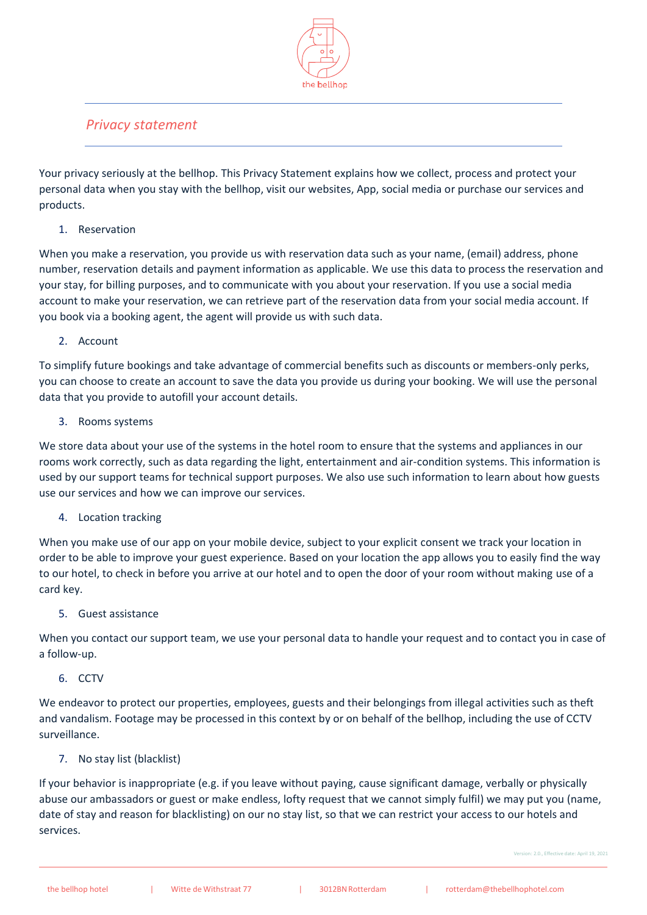

# *Privacy statement*

Your privacy seriously at the bellhop. This Privacy Statement explains how we collect, process and protect your personal data when you stay with the bellhop, visit our websites, App, social media or purchase our services and products.

# 1. Reservation

When you make a reservation, you provide us with reservation data such as your name, (email) address, phone number, reservation details and payment information as applicable. We use this data to process the reservation and your stay, for billing purposes, and to communicate with you about your reservation. If you use a social media account to make your reservation, we can retrieve part of the reservation data from your social media account. If you book via a booking agent, the agent will provide us with such data.

## 2. Account

To simplify future bookings and take advantage of commercial benefits such as discounts or members-only perks, you can choose to create an account to save the data you provide us during your booking. We will use the personal data that you provide to autofill your account details.

## 3. Rooms systems

We store data about your use of the systems in the hotel room to ensure that the systems and appliances in our rooms work correctly, such as data regarding the light, entertainment and air-condition systems. This information is used by our support teams for technical support purposes. We also use such information to learn about how guests use our services and how we can improve our services.

## 4. Location tracking

When you make use of our app on your mobile device, subject to your explicit consent we track your location in order to be able to improve your guest experience. Based on your location the app allows you to easily find the way to our hotel, to check in before you arrive at our hotel and to open the door of your room without making use of a card key.

## 5. Guest assistance

When you contact our support team, we use your personal data to handle your request and to contact you in case of a follow-up.

## 6. CCTV

We endeavor to protect our properties, employees, guests and their belongings from illegal activities such as theft and vandalism. Footage may be processed in this context by or on behalf of the bellhop, including the use of CCTV surveillance.

## 7. No stay list (blacklist)

If your behavior is inappropriate (e.g. if you leave without paying, cause significant damage, verbally or physically abuse our ambassadors or guest or make endless, lofty request that we cannot simply fulfil) we may put you (name, date of stay and reason for blacklisting) on our no stay list, so that we can restrict your access to our hotels and services.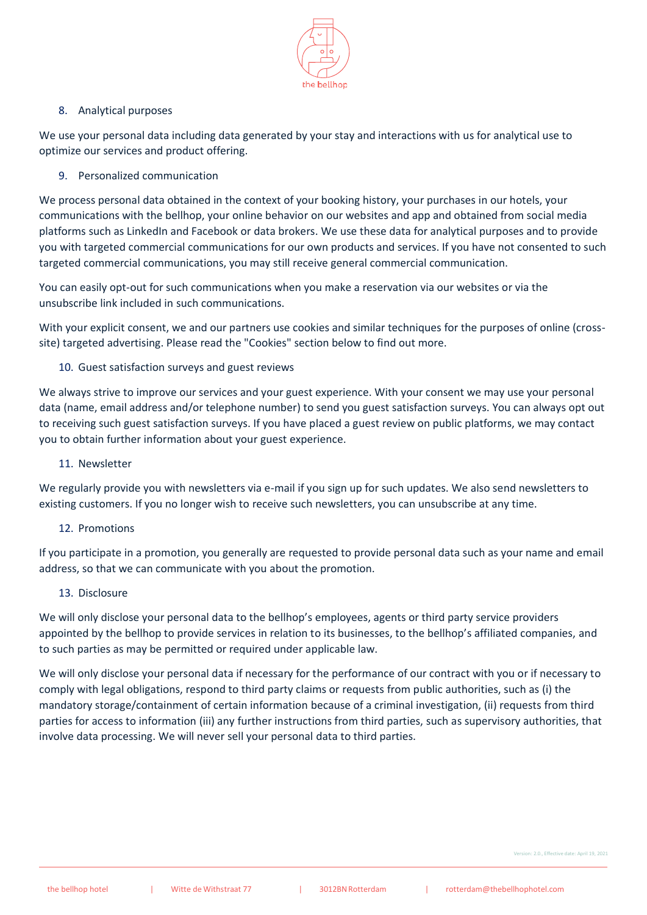

## 8. Analytical purposes

We use your personal data including data generated by your stay and interactions with us for analytical use to optimize our services and product offering.

9. Personalized communication

We process personal data obtained in the context of your booking history, your purchases in our hotels, your communications with the bellhop, your online behavior on our websites and app and obtained from social media platforms such as LinkedIn and Facebook or data brokers. We use these data for analytical purposes and to provide you with targeted commercial communications for our own products and services. If you have not consented to such targeted commercial communications, you may still receive general commercial communication.

You can easily opt-out for such communications when you make a reservation via our websites or via the unsubscribe link included in such communications.

With your explicit consent, we and our partners use cookies and similar techniques for the purposes of online (crosssite) targeted advertising. Please read the "Cookies" section below to find out more.

## 10. Guest satisfaction surveys and guest reviews

We always strive to improve our services and your guest experience. With your consent we may use your personal data (name, email address and/or telephone number) to send you guest satisfaction surveys. You can always opt out to receiving such guest satisfaction surveys. If you have placed a guest review on public platforms, we may contact you to obtain further information about your guest experience.

#### 11. Newsletter

We regularly provide you with newsletters via e-mail if you sign up for such updates. We also send newsletters to existing customers. If you no longer wish to receive such newsletters, you can unsubscribe at any time.

## 12. Promotions

If you participate in a promotion, you generally are requested to provide personal data such as your name and email address, so that we can communicate with you about the promotion.

#### 13. Disclosure

We will only disclose your personal data to the bellhop's employees, agents or third party service providers appointed by the bellhop to provide services in relation to its businesses, to the bellhop's affiliated companies, and to such parties as may be permitted or required under applicable law.

We will only disclose your personal data if necessary for the performance of our contract with you or if necessary to comply with legal obligations, respond to third party claims or requests from public authorities, such as (i) the mandatory storage/containment of certain information because of a criminal investigation, (ii) requests from third parties for access to information (iii) any further instructions from third parties, such as supervisory authorities, that involve data processing. We will never sell your personal data to third parties.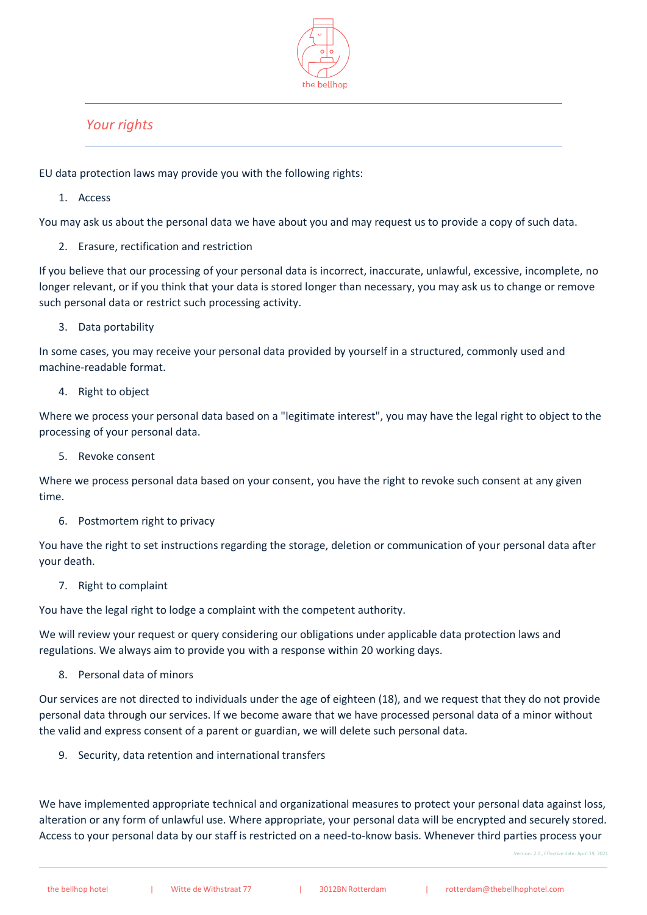

# *Your rights*

EU data protection laws may provide you with the following rights:

1. Access

You may ask us about the personal data we have about you and may request us to provide a copy of such data.

2. Erasure, rectification and restriction

If you believe that our processing of your personal data is incorrect, inaccurate, unlawful, excessive, incomplete, no longer relevant, or if you think that your data is stored longer than necessary, you may ask us to change or remove such personal data or restrict such processing activity.

3. Data portability

In some cases, you may receive your personal data provided by yourself in a structured, commonly used and machine-readable format.

4. Right to object

Where we process your personal data based on a "legitimate interest", you may have the legal right to object to the processing of your personal data.

5. Revoke consent

Where we process personal data based on your consent, you have the right to revoke such consent at any given time.

6. Postmortem right to privacy

You have the right to set instructions regarding the storage, deletion or communication of your personal data after your death.

7. Right to complaint

You have the legal right to lodge a complaint with the competent authority.

We will review your request or query considering our obligations under applicable data protection laws and regulations. We always aim to provide you with a response within 20 working days.

8. Personal data of minors

Our services are not directed to individuals under the age of eighteen (18), and we request that they do not provide personal data through our services. If we become aware that we have processed personal data of a minor without the valid and express consent of a parent or guardian, we will delete such personal data.

9. Security, data retention and international transfers

We have implemented appropriate technical and organizational measures to protect your personal data against loss, alteration or any form of unlawful use. Where appropriate, your personal data will be encrypted and securely stored. Access to your personal data by our staff is restricted on a need-to-know basis. Whenever third parties process your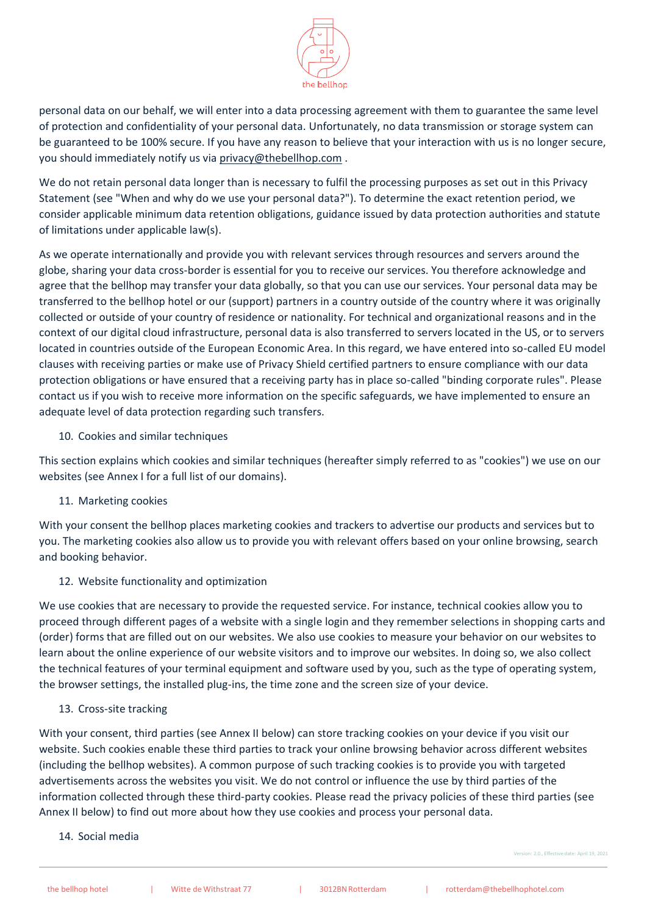

personal data on our behalf, we will enter into a data processing agreement with them to guarantee the same level of protection and confidentiality of your personal data. Unfortunately, no data transmission or storage system can be guaranteed to be 100% secure. If you have any reason to believe that your interaction with us is no longer secure, you should immediately notify us via [privacy@thebellhop.com](mailto:privacy@thebellhop.com).

We do not retain personal data longer than is necessary to fulfil the processing purposes as set out in this Privacy Statement (see "When and why do we use your personal data?"). To determine the exact retention period, we consider applicable minimum data retention obligations, guidance issued by data protection authorities and statute of limitations under applicable law(s).

As we operate internationally and provide you with relevant services through resources and servers around the globe, sharing your data cross-border is essential for you to receive our services. You therefore acknowledge and agree that the bellhop may transfer your data globally, so that you can use our services. Your personal data may be transferred to the bellhop hotel or our (support) partners in a country outside of the country where it was originally collected or outside of your country of residence or nationality. For technical and organizational reasons and in the context of our digital cloud infrastructure, personal data is also transferred to servers located in the US, or to servers located in countries outside of the European Economic Area. In this regard, we have entered into so-called EU model clauses with receiving parties or make use of Privacy Shield certified partners to ensure compliance with our data protection obligations or have ensured that a receiving party has in place so-called "binding corporate rules". Please contact us if you wish to receive more information on the specific safeguards, we have implemented to ensure an adequate level of data protection regarding such transfers.

10. Cookies and similar techniques

This section explains which cookies and similar techniques (hereafter simply referred to as "cookies") we use on our websites (see Annex I for a full list of our domains).

11. Marketing cookies

With your consent the bellhop places marketing cookies and trackers to advertise our products and services but to you. The marketing cookies also allow us to provide you with relevant offers based on your online browsing, search and booking behavior.

12. Website functionality and optimization

We use cookies that are necessary to provide the requested service. For instance, technical cookies allow you to proceed through different pages of a website with a single login and they remember selections in shopping carts and (order) forms that are filled out on our websites. We also use cookies to measure your behavior on our websites to learn about the online experience of our website visitors and to improve our websites. In doing so, we also collect the technical features of your terminal equipment and software used by you, such as the type of operating system, the browser settings, the installed plug-ins, the time zone and the screen size of your device.

13. Cross-site tracking

With your consent, third parties (see Annex II below) can store tracking cookies on your device if you visit our website. Such cookies enable these third parties to track your online browsing behavior across different websites (including the bellhop websites). A common purpose of such tracking cookies is to provide you with targeted advertisements across the websites you visit. We do not control or influence the use by third parties of the information collected through these third-party cookies. Please read the privacy policies of these third parties (see Annex II below) to find out more about how they use cookies and process your personal data.

14. Social media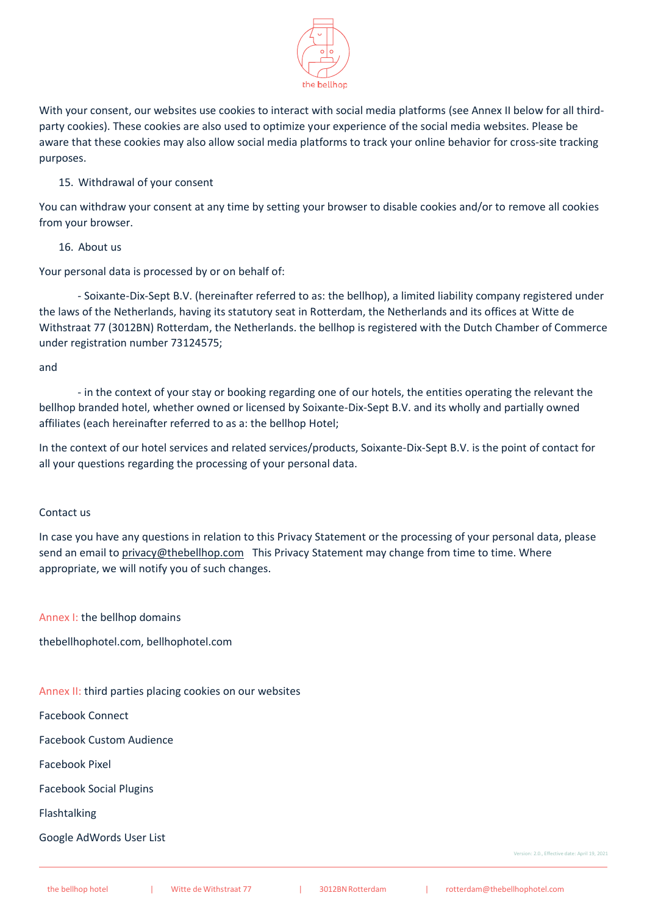

With your consent, our websites use cookies to interact with social media platforms (see Annex II below for all thirdparty cookies). These cookies are also used to optimize your experience of the social media websites. Please be aware that these cookies may also allow social media platforms to track your online behavior for cross-site tracking purposes.

## 15. Withdrawal of your consent

You can withdraw your consent at any time by setting your browser to disable cookies and/or to remove all cookies from your browser.

#### 16. About us

Your personal data is processed by or on behalf of:

- Soixante-Dix-Sept B.V. (hereinafter referred to as: the bellhop), a limited liability company registered under the laws of the Netherlands, having its statutory seat in Rotterdam, the Netherlands and its offices at Witte de Withstraat 77 (3012BN) Rotterdam, the Netherlands. the bellhop is registered with the Dutch Chamber of Commerce under registration number 73124575;

#### and

- in the context of your stay or booking regarding one of our hotels, the entities operating the relevant the bellhop branded hotel, whether owned or licensed by Soixante-Dix-Sept B.V. and its wholly and partially owned affiliates (each hereinafter referred to as a: the bellhop Hotel;

In the context of our hotel services and related services/products, Soixante-Dix-Sept B.V. is the point of contact for all your questions regarding the processing of your personal data.

#### Contact us

In case you have any questions in relation to this Privacy Statement or the processing of your personal data, please send an email to [privacy@thebellhop.com](mailto:privacy@thebellhop.com) This Privacy Statement may change from time to time. Where appropriate, we will notify you of such changes.

Annex I: the bellhop domains

thebellhophotel.com, bellhophotel.com

#### Annex II: third parties placing cookies on our websites

Facebook Connect

Facebook Custom Audience

Facebook Pixel

Facebook Social Plugins

Flashtalking

Google AdWords User List